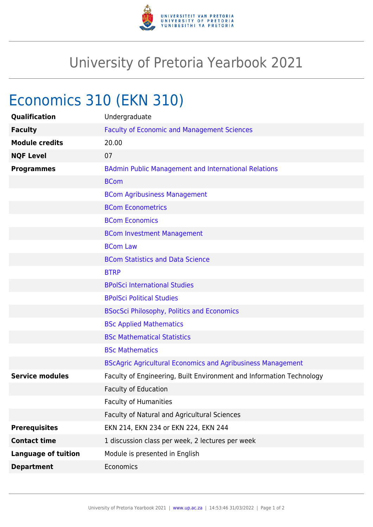

## University of Pretoria Yearbook 2021

# Economics 310 (EKN 310)

| Undergraduate                                                        |
|----------------------------------------------------------------------|
| <b>Faculty of Economic and Management Sciences</b>                   |
| 20.00                                                                |
| 07                                                                   |
| <b>BAdmin Public Management and International Relations</b>          |
| <b>BCom</b>                                                          |
| <b>BCom Agribusiness Management</b>                                  |
| <b>BCom Econometrics</b>                                             |
| <b>BCom Economics</b>                                                |
| <b>BCom Investment Management</b>                                    |
| <b>BCom Law</b>                                                      |
| <b>BCom Statistics and Data Science</b>                              |
| <b>BTRP</b>                                                          |
| <b>BPolSci International Studies</b>                                 |
| <b>BPolSci Political Studies</b>                                     |
| <b>BSocSci Philosophy, Politics and Economics</b>                    |
| <b>BSc Applied Mathematics</b>                                       |
| <b>BSc Mathematical Statistics</b>                                   |
| <b>BSc Mathematics</b>                                               |
| <b>BScAgric Agricultural Economics and Agribusiness Management</b>   |
| Faculty of Engineering, Built Environment and Information Technology |
| <b>Faculty of Education</b>                                          |
| <b>Faculty of Humanities</b>                                         |
| Faculty of Natural and Agricultural Sciences                         |
| EKN 214, EKN 234 or EKN 224, EKN 244                                 |
| 1 discussion class per week, 2 lectures per week                     |
| Module is presented in English                                       |
| Economics                                                            |
|                                                                      |